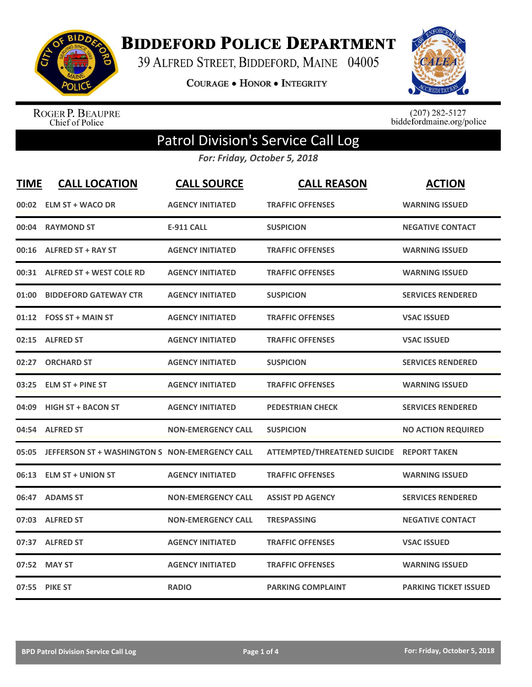

**BIDDEFORD POLICE DEPARTMENT** 

39 ALFRED STREET, BIDDEFORD, MAINE 04005

**COURAGE . HONOR . INTEGRITY** 



ROGER P. BEAUPRE<br>Chief of Police

 $(207)$  282-5127<br>biddefordmaine.org/police

## Patrol Division's Service Call Log

*For: Friday, October 5, 2018*

| <b>TIME</b> | <b>CALL LOCATION</b>                                 | <b>CALL SOURCE</b>        | <b>CALL REASON</b>                        | <b>ACTION</b>                |
|-------------|------------------------------------------------------|---------------------------|-------------------------------------------|------------------------------|
| 00:02       | <b>ELM ST + WACO DR</b>                              | <b>AGENCY INITIATED</b>   | <b>TRAFFIC OFFENSES</b>                   | <b>WARNING ISSUED</b>        |
|             | 00:04 RAYMOND ST                                     | <b>E-911 CALL</b>         | <b>SUSPICION</b>                          | <b>NEGATIVE CONTACT</b>      |
|             | 00:16 ALFRED ST + RAY ST                             | <b>AGENCY INITIATED</b>   | <b>TRAFFIC OFFENSES</b>                   | <b>WARNING ISSUED</b>        |
|             | 00:31 ALFRED ST + WEST COLE RD                       | <b>AGENCY INITIATED</b>   | <b>TRAFFIC OFFENSES</b>                   | <b>WARNING ISSUED</b>        |
| 01:00       | <b>BIDDEFORD GATEWAY CTR</b>                         | <b>AGENCY INITIATED</b>   | <b>SUSPICION</b>                          | <b>SERVICES RENDERED</b>     |
|             | 01:12 FOSS ST + MAIN ST                              | <b>AGENCY INITIATED</b>   | <b>TRAFFIC OFFENSES</b>                   | <b>VSAC ISSUED</b>           |
|             | 02:15 ALFRED ST                                      | <b>AGENCY INITIATED</b>   | <b>TRAFFIC OFFENSES</b>                   | <b>VSAC ISSUED</b>           |
|             | 02:27 ORCHARD ST                                     | <b>AGENCY INITIATED</b>   | <b>SUSPICION</b>                          | <b>SERVICES RENDERED</b>     |
|             | 03:25 ELM ST + PINE ST                               | <b>AGENCY INITIATED</b>   | <b>TRAFFIC OFFENSES</b>                   | <b>WARNING ISSUED</b>        |
| 04:09       | <b>HIGH ST + BACON ST</b>                            | <b>AGENCY INITIATED</b>   | <b>PEDESTRIAN CHECK</b>                   | <b>SERVICES RENDERED</b>     |
|             | 04:54 ALFRED ST                                      | <b>NON-EMERGENCY CALL</b> | <b>SUSPICION</b>                          | <b>NO ACTION REQUIRED</b>    |
|             | 05:05 JEFFERSON ST + WASHINGTON S NON-EMERGENCY CALL |                           | ATTEMPTED/THREATENED SUICIDE REPORT TAKEN |                              |
|             | 06:13 ELM ST + UNION ST                              | <b>AGENCY INITIATED</b>   | <b>TRAFFIC OFFENSES</b>                   | <b>WARNING ISSUED</b>        |
|             | 06:47 ADAMS ST                                       | <b>NON-EMERGENCY CALL</b> | <b>ASSIST PD AGENCY</b>                   | <b>SERVICES RENDERED</b>     |
|             | 07:03 ALFRED ST                                      | <b>NON-EMERGENCY CALL</b> | <b>TRESPASSING</b>                        | <b>NEGATIVE CONTACT</b>      |
|             | 07:37 ALFRED ST                                      | <b>AGENCY INITIATED</b>   | <b>TRAFFIC OFFENSES</b>                   | <b>VSAC ISSUED</b>           |
|             | 07:52 MAY ST                                         | <b>AGENCY INITIATED</b>   | <b>TRAFFIC OFFENSES</b>                   | <b>WARNING ISSUED</b>        |
|             | 07:55 PIKE ST                                        | <b>RADIO</b>              | <b>PARKING COMPLAINT</b>                  | <b>PARKING TICKET ISSUED</b> |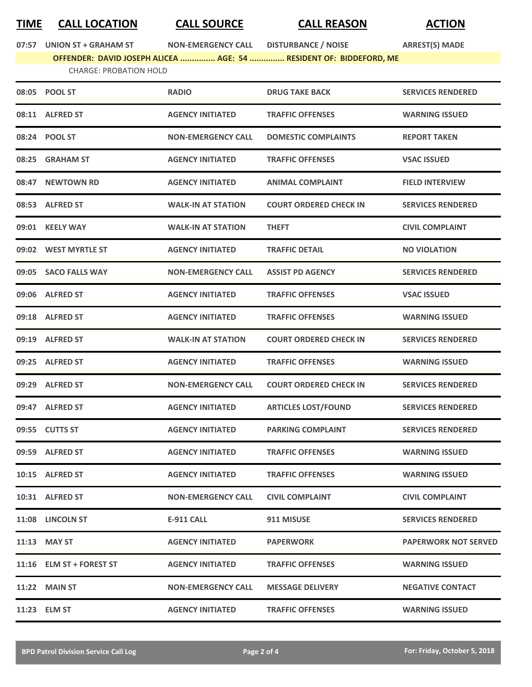## **TIME CALL LOCATION CALL SOURCE CALL REASON ACTION**

**07:57 UNION ST + GRAHAM ST NON-EMERGENCY CALL DISTURBANCE / NOISE ARREST(S) MADE**

**OFFENDER: DAVID JOSEPH ALICEA ............... AGE: 54 ............... RESIDENT OF: BIDDEFORD, ME** CHARGE: PROBATION HOLD

|       | 08:05 POOL ST            | <b>RADIO</b>              | <b>DRUG TAKE BACK</b>         | <b>SERVICES RENDERED</b> |
|-------|--------------------------|---------------------------|-------------------------------|--------------------------|
|       | 08:11 ALFRED ST          | <b>AGENCY INITIATED</b>   | <b>TRAFFIC OFFENSES</b>       | <b>WARNING ISSUED</b>    |
|       | 08:24 POOL ST            | <b>NON-EMERGENCY CALL</b> | <b>DOMESTIC COMPLAINTS</b>    | <b>REPORT TAKEN</b>      |
| 08:25 | <b>GRAHAM ST</b>         | <b>AGENCY INITIATED</b>   | <b>TRAFFIC OFFENSES</b>       | <b>VSAC ISSUED</b>       |
| 08:47 | <b>NEWTOWN RD</b>        | <b>AGENCY INITIATED</b>   | <b>ANIMAL COMPLAINT</b>       | <b>FIELD INTERVIEW</b>   |
|       | 08:53 ALFRED ST          | <b>WALK-IN AT STATION</b> | <b>COURT ORDERED CHECK IN</b> | <b>SERVICES RENDERED</b> |
|       | 09:01 KEELY WAY          | <b>WALK-IN AT STATION</b> | <b>THEFT</b>                  | <b>CIVIL COMPLAINT</b>   |
|       | 09:02 WEST MYRTLE ST     | <b>AGENCY INITIATED</b>   | <b>TRAFFIC DETAIL</b>         | <b>NO VIOLATION</b>      |
|       | 09:05 SACO FALLS WAY     | <b>NON-EMERGENCY CALL</b> | <b>ASSIST PD AGENCY</b>       | <b>SERVICES RENDERED</b> |
|       | 09:06 ALFRED ST          | <b>AGENCY INITIATED</b>   | <b>TRAFFIC OFFENSES</b>       | <b>VSAC ISSUED</b>       |
|       | 09:18 ALFRED ST          | <b>AGENCY INITIATED</b>   | <b>TRAFFIC OFFENSES</b>       | <b>WARNING ISSUED</b>    |
|       | 09:19 ALFRED ST          | <b>WALK-IN AT STATION</b> | <b>COURT ORDERED CHECK IN</b> | <b>SERVICES RENDERED</b> |
|       | 09:25 ALFRED ST          | <b>AGENCY INITIATED</b>   | <b>TRAFFIC OFFENSES</b>       | <b>WARNING ISSUED</b>    |
|       | 09:29 ALFRED ST          | <b>NON-EMERGENCY CALL</b> | <b>COURT ORDERED CHECK IN</b> | <b>SERVICES RENDERED</b> |
| 09:47 | <b>ALFRED ST</b>         | <b>AGENCY INITIATED</b>   | <b>ARTICLES LOST/FOUND</b>    | <b>SERVICES RENDERED</b> |
|       | 09:55 CUTTS ST           | <b>AGENCY INITIATED</b>   | <b>PARKING COMPLAINT</b>      | <b>SERVICES RENDERED</b> |
|       | 09:59 ALFRED ST          | <b>AGENCY INITIATED</b>   | <b>TRAFFIC OFFENSES</b>       | <b>WARNING ISSUED</b>    |
|       | 10:15 ALFRED ST          | <b>AGENCY INITIATED</b>   | <b>TRAFFIC OFFENSES</b>       | <b>WARNING ISSUED</b>    |
|       | 10:31 ALFRED ST          | <b>NON-EMERGENCY CALL</b> | <b>CIVIL COMPLAINT</b>        | <b>CIVIL COMPLAINT</b>   |
|       | 11:08 LINCOLN ST         | E-911 CALL                | 911 MISUSE                    | <b>SERVICES RENDERED</b> |
|       | 11:13 MAY ST             | <b>AGENCY INITIATED</b>   | <b>PAPERWORK</b>              | PAPERWORK NOT SERVED     |
|       | 11:16 ELM ST + FOREST ST | <b>AGENCY INITIATED</b>   | <b>TRAFFIC OFFENSES</b>       | <b>WARNING ISSUED</b>    |
|       | <b>11:22 MAIN ST</b>     | <b>NON-EMERGENCY CALL</b> | <b>MESSAGE DELIVERY</b>       | <b>NEGATIVE CONTACT</b>  |
|       | 11:23 ELM ST             | <b>AGENCY INITIATED</b>   | <b>TRAFFIC OFFENSES</b>       | <b>WARNING ISSUED</b>    |
|       |                          |                           |                               |                          |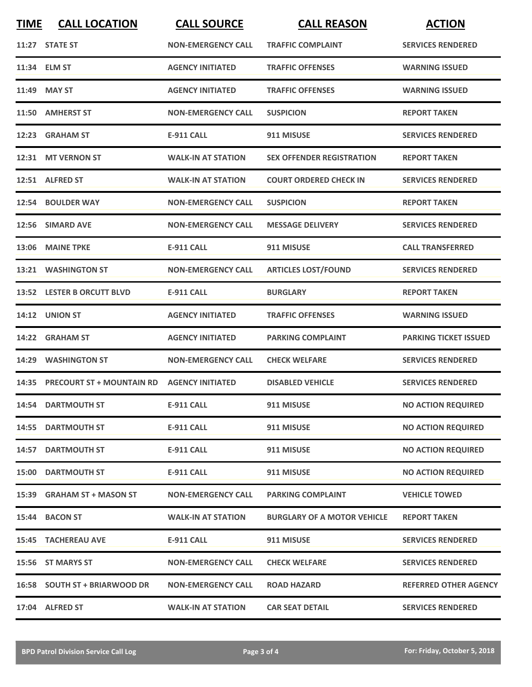| <b>TIME</b> | <b>CALL LOCATION</b>            | <b>CALL SOURCE</b>        | <b>CALL REASON</b>                 | <b>ACTION</b>                |
|-------------|---------------------------------|---------------------------|------------------------------------|------------------------------|
|             | 11:27 STATE ST                  | <b>NON-EMERGENCY CALL</b> | <b>TRAFFIC COMPLAINT</b>           | <b>SERVICES RENDERED</b>     |
|             | 11:34 ELM ST                    | <b>AGENCY INITIATED</b>   | <b>TRAFFIC OFFENSES</b>            | <b>WARNING ISSUED</b>        |
|             | 11:49 MAY ST                    | <b>AGENCY INITIATED</b>   | <b>TRAFFIC OFFENSES</b>            | <b>WARNING ISSUED</b>        |
|             | 11:50 AMHERST ST                | <b>NON-EMERGENCY CALL</b> | <b>SUSPICION</b>                   | <b>REPORT TAKEN</b>          |
|             | 12:23 GRAHAM ST                 | <b>E-911 CALL</b>         | 911 MISUSE                         | <b>SERVICES RENDERED</b>     |
|             | 12:31 MT VERNON ST              | <b>WALK-IN AT STATION</b> | <b>SEX OFFENDER REGISTRATION</b>   | <b>REPORT TAKEN</b>          |
|             | 12:51 ALFRED ST                 | <b>WALK-IN AT STATION</b> | <b>COURT ORDERED CHECK IN</b>      | <b>SERVICES RENDERED</b>     |
|             | 12:54 BOULDER WAY               | <b>NON-EMERGENCY CALL</b> | <b>SUSPICION</b>                   | <b>REPORT TAKEN</b>          |
|             | 12:56 SIMARD AVE                | <b>NON-EMERGENCY CALL</b> | <b>MESSAGE DELIVERY</b>            | <b>SERVICES RENDERED</b>     |
|             | 13:06 MAINE TPKE                | E-911 CALL                | 911 MISUSE                         | <b>CALL TRANSFERRED</b>      |
|             | 13:21 WASHINGTON ST             | <b>NON-EMERGENCY CALL</b> | <b>ARTICLES LOST/FOUND</b>         | <b>SERVICES RENDERED</b>     |
|             | 13:52 LESTER B ORCUTT BLVD      | <b>E-911 CALL</b>         | <b>BURGLARY</b>                    | <b>REPORT TAKEN</b>          |
|             | 14:12 UNION ST                  | <b>AGENCY INITIATED</b>   | <b>TRAFFIC OFFENSES</b>            | <b>WARNING ISSUED</b>        |
|             | 14:22 GRAHAM ST                 | <b>AGENCY INITIATED</b>   | <b>PARKING COMPLAINT</b>           | <b>PARKING TICKET ISSUED</b> |
|             | 14:29 WASHINGTON ST             | <b>NON-EMERGENCY CALL</b> | <b>CHECK WELFARE</b>               | <b>SERVICES RENDERED</b>     |
|             | 14:35 PRECOURT ST + MOUNTAIN RD | <b>AGENCY INITIATED</b>   | <b>DISABLED VEHICLE</b>            | <b>SERVICES RENDERED</b>     |
|             | 14:54 DARTMOUTH ST              | <b>E-911 CALL</b>         | 911 MISUSE                         | <b>NO ACTION REQUIRED</b>    |
|             | 14:55 DARTMOUTH ST              | <b>E-911 CALL</b>         | 911 MISUSE                         | <b>NO ACTION REQUIRED</b>    |
|             | <b>14:57 DARTMOUTH ST</b>       | <b>E-911 CALL</b>         | 911 MISUSE                         | <b>NO ACTION REQUIRED</b>    |
|             | <b>15:00 DARTMOUTH ST</b>       | E-911 CALL                | 911 MISUSE                         | <b>NO ACTION REQUIRED</b>    |
|             | 15:39 GRAHAM ST + MASON ST      | <b>NON-EMERGENCY CALL</b> | <b>PARKING COMPLAINT</b>           | <b>VEHICLE TOWED</b>         |
|             | 15:44 BACON ST                  | <b>WALK-IN AT STATION</b> | <b>BURGLARY OF A MOTOR VEHICLE</b> | <b>REPORT TAKEN</b>          |
|             | <b>15:45 TACHEREAU AVE</b>      | E-911 CALL                | 911 MISUSE                         | <b>SERVICES RENDERED</b>     |
|             | 15:56 ST MARYS ST               | <b>NON-EMERGENCY CALL</b> | <b>CHECK WELFARE</b>               | <b>SERVICES RENDERED</b>     |
|             | 16:58 SOUTH ST + BRIARWOOD DR   | <b>NON-EMERGENCY CALL</b> | <b>ROAD HAZARD</b>                 | <b>REFERRED OTHER AGENCY</b> |
|             | 17:04 ALFRED ST                 | <b>WALK-IN AT STATION</b> | <b>CAR SEAT DETAIL</b>             | <b>SERVICES RENDERED</b>     |